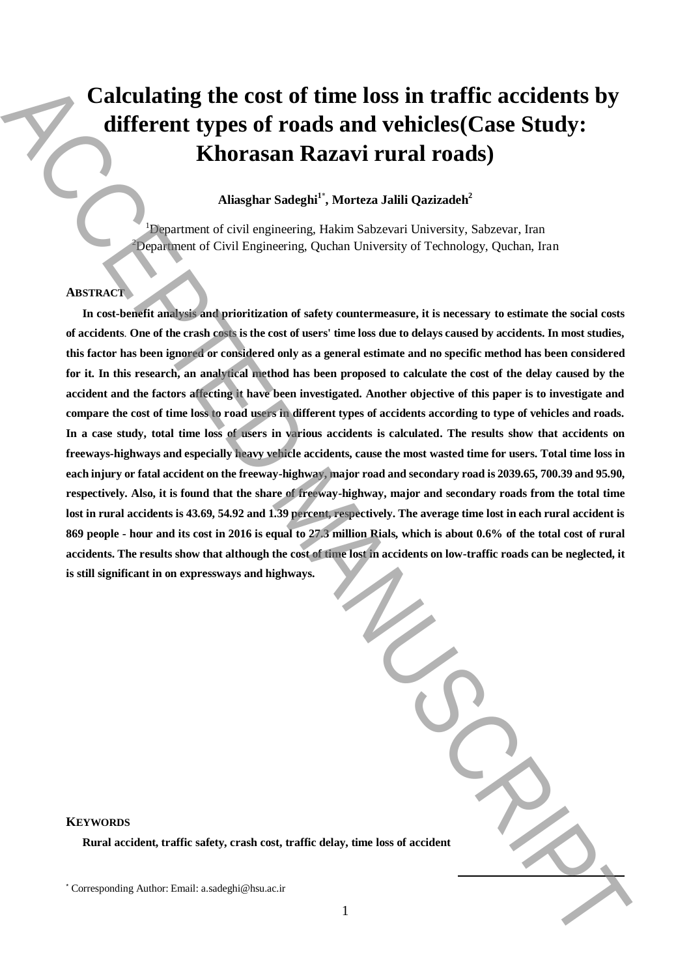# **Calculating the cost of time loss in traffic accidents by different types of roads and vehicles(Case Study: Khorasan Razavi rural roads)**

## **Aliasghar Sadeghi<sup>1</sup>**\* **, Morteza Jalili Qazizadeh<sup>2</sup>**

<sup>1</sup>Department of civil engineering, Hakim Sabzevari University, Sabzevar, Iran  $2D$ epartment of Civil Engineering, Quchan University of Technology, Quchan, Iran

#### **ABSTRACT**

**In cost-benefit analysis and prioritization of safety countermeasure, it is necessary to estimate the social costs of accidents**. **One of the crash costs is the cost of users' time loss due to delays caused by accidents. In most studies, this factor has been ignored or considered only as a general estimate and no specific method has been considered for it. In this research, an analytical method has been proposed to calculate the cost of the delay caused by the accident and the factors affecting it have been investigated. Another objective of this paper is to investigate and compare the cost of time loss to road users in different types of accidents according to type of vehicles and roads. In a case study, total time loss of users in various accidents is calculated. The results show that accidents on freeways-highways and especially heavy vehicle accidents, cause the most wasted time for users. Total time loss in each injury or fatal accident on the freeway-highway, major road and secondary road is 2039.65, 700.39 and 95.90, respectively. Also, it is found that the share of freeway-highway, major and secondary roads from the total time lost in rural accidents is 43.69, 54.92 and 1.39 percent, respectively. The average time lost in each rural accident is 869 people - hour and its cost in 2016 is equal to 27.3 million Rials, which is about 0.6% of the total cost of rural accidents. The results show that although the cost of time lost in accidents on low-traffic roads can be neglected, it is still significant in on expressways and highways.** Calculating the cost of time loss in traffic accidents by<br>different types of roads and vehicles(Case Study:<br>Khorasan Razavi rural roads).<br>Khorasan Razavi rural roads),<br> $\frac{1}{2}$ <br> $\frac{1}{2}$ <br> $\frac{1}{2}$   $\frac{1}{2}$   $\frac{1}{2}$ <br> $\frac$ 

| ne loss of accident |  |
|---------------------|--|

#### **KEYWORDS**

**Rural accident, traffic safety, crash cost, traffic delay, tin**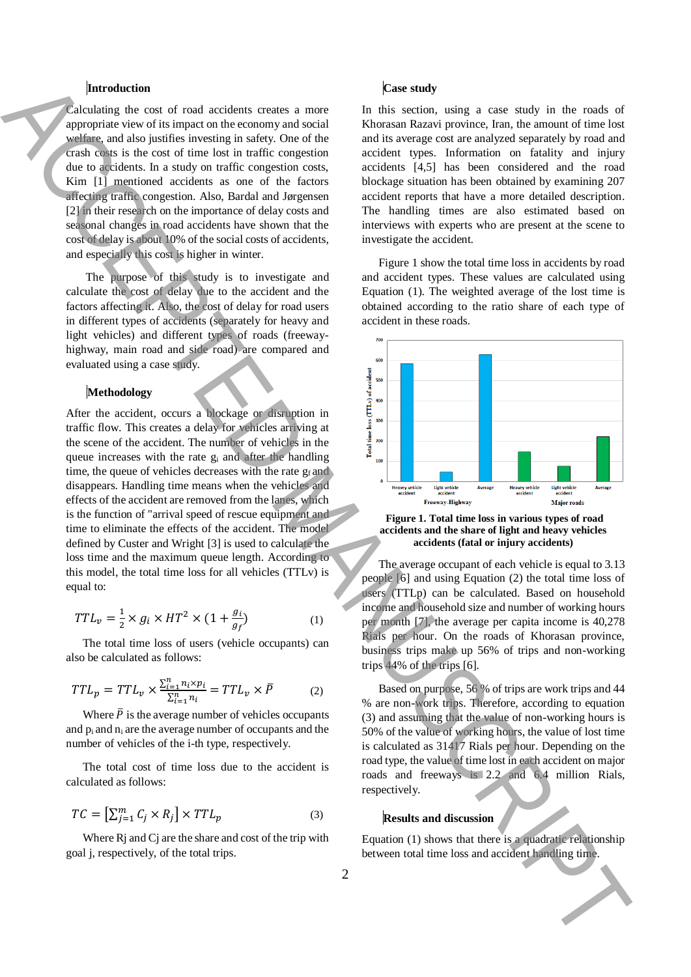### **Introduction**

Calculating the cost of road accidents creates a more appropriate view of its impact on the economy and social welfare, and also justifies investing in safety. One of the crash costs is the cost of time lost in traffic congestion due to accidents. In a study on traffic congestion costs, Kim [1] mentioned accidents as one of the factors affecting traffic congestion. Also, Bardal and Jørgensen [2] in their research on the importance of delay costs and seasonal changes in road accidents have shown that the cost of delay is about 10% of the social costs of accidents, and especially this cost is higher in winter.

The purpose of this study is to investigate and calculate the cost of delay due to the accident and the factors affecting it. Also, the cost of delay for road users in different types of accidents (separately for heavy and light vehicles) and different types of roads (freewayhighway, main road and side road) are compared and evaluated using a case study.

## **Methodology**

After the accident, occurs a blockage or disruption in traffic flow. This creates a delay for vehicles arriving at the scene of the accident. The number of vehicles in the queue increases with the rate g<sup>i</sup> and after the handling time, the queue of vehicles decreases with the rate  $g_f$  and disappears. Handling time means when the vehicles and effects of the accident are removed from the lanes, which is the function of "arrival speed of rescue equipment and time to eliminate the effects of the accident. The model defined by Custer and Wright [3] is used to calculate the loss time and the maximum queue length. According to this model, the total time loss for all vehicles (TTLv) is equal to:

$$
TTL_v = \frac{1}{2} \times g_i \times HT^2 \times (1 + \frac{g_i}{g_f})
$$
 (1)

The total time loss of users (vehicle occupants) can also be calculated as follows:

$$
TTL_p = TTL_v \times \frac{\sum_{i=1}^{n} n_i \times p_i}{\sum_{i=1}^{n} n_i} = TTL_v \times \overline{P}
$$
 (2)

Where  $\bar{P}$  is the average number of vehicles occupants and  $p_i$  and  $n_i$  are the average number of occupants and the number of vehicles of the i-th type, respectively.

The total cost of time loss due to the accident is calculated as follows:

$$
TC = \left[\sum_{j=1}^{m} C_j \times R_j\right] \times TTL_p \tag{3}
$$

Where Rj and Cj are the share and cost of the trip with goal j, respectively, of the total trips.

#### **Case study**

In this section, using a case study in the roads of Khorasan Razavi province, Iran, the amount of time lost and its average cost are analyzed separately by road and accident types. Information on fatality and injury accidents [4,5] has been considered and the road blockage situation has been obtained by examining 207 accident reports that have a more detailed description. The handling times are also estimated based on interviews with experts who are present at the scene to investigate the accident.

Figure 1 show the total time loss in accidents by road and accident types. These values are calculated using Equation (1). The weighted average of the lost time is obtained according to the ratio share of each type of accident in these roads.



**Figure 1. Total time loss in various types of road accidents and the share of light and heavy vehicles accidents (fatal or injury accidents)**

The average occupant of each vehicle is equal to 3.13 people [6] and using Equation (2) the total time loss of users (TTLp) can be calculated. Based on household income and household size and number of working hours per month [7], the average per capita income is 40,278 Rials per hour. On the roads of Khorasan province, business trips make up 56% of trips and non-working trips 44% of the trips [6].

Based on purpose, 56 % of trips are work trips and 44 % are non-work trips. Therefore, according to equation (3) and assuming that the value of non-working hours is 50% of the value of working hours, the value of lost time is calculated as 31417 Rials per hour. Depending on the road type, the value of time lost in each accident on major roads and freeways is 2.2 and 6.4 million Rials, respectively.

## **Results and discussion**

Equation (1) shows that there is a quadratic relationship